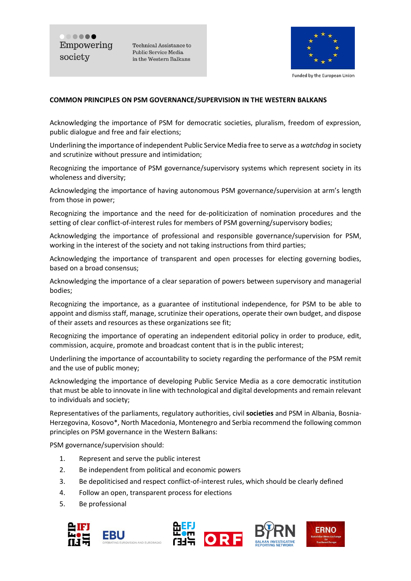..... Empowering society

Technical Assistance to Public Service Media in the Western Balkans



Funded by the European Union

#### **COMMON PRINCIPLES ON PSM GOVERNANCE/SUPERVISION IN THE WESTERN BALKANS**

Acknowledging the importance of PSM for democratic societies, pluralism, freedom of expression, public dialogue and free and fair elections;

Underlining the importance of independent Public Service Media free to serve as a *watchdog* in society and scrutinize without pressure and intimidation;

Recognizing the importance of PSM governance/supervisory systems which represent society in its wholeness and diversity;

Acknowledging the importance of having autonomous PSM governance/supervision at arm's length from those in power;

Recognizing the importance and the need for de-politicization of nomination procedures and the setting of clear conflict-of-interest rules for members of PSM governing/supervisory bodies;

Acknowledging the importance of professional and responsible governance/supervision for PSM, working in the interest of the society and not taking instructions from third parties;

Acknowledging the importance of transparent and open processes for electing governing bodies, based on a broad consensus;

Acknowledging the importance of a clear separation of powers between supervisory and managerial bodies;

Recognizing the importance, as a guarantee of institutional independence, for PSM to be able to appoint and dismiss staff, manage, scrutinize their operations, operate their own budget, and dispose of their assets and resources as these organizations see fit;

Recognizing the importance of operating an independent editorial policy in order to produce, edit, commission, acquire, promote and broadcast content that is in the public interest;

Underlining the importance of accountability to society regarding the performance of the PSM remit and the use of public money;

Acknowledging the importance of developing Public Service Media as a core democratic institution that must be able to innovate in line with technological and digital developments and remain relevant to individuals and society;

Representatives of the parliaments, regulatory authorities, civil **societies** and PSM in Albania, Bosnia-Herzegovina, Kosovo\*, North Macedonia, Montenegro and Serbia recommend the following common principles on PSM governance in the Western Balkans:

PSM governance/supervision should:

- 1. Represent and serve the public interest
- 2. Be independent from political and economic powers
- 3. Be depoliticised and respect conflict-of-interest rules, which should be clearly defined
- 4. Follow an open, transparent process for elections
- 5. Be professional







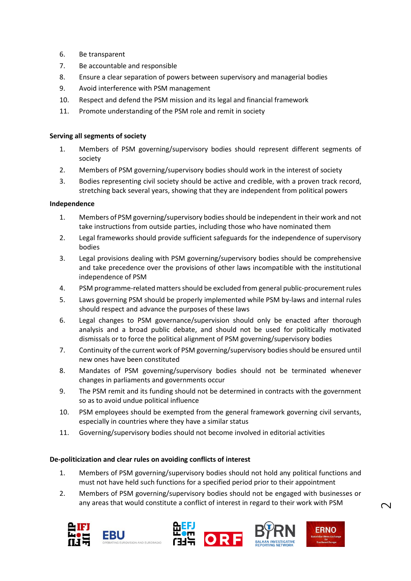- 6. Be transparent
- 7. Be accountable and responsible
- 8. Ensure a clear separation of powers between supervisory and managerial bodies
- 9. Avoid interference with PSM management
- 10. Respect and defend the PSM mission and its legal and financial framework
- 11. Promote understanding of the PSM role and remit in society

#### **Serving all segments of society**

- 1. Members of PSM governing/supervisory bodies should represent different segments of society
- 2. Members of PSM governing/supervisory bodies should work in the interest of society
- 3. Bodies representing civil society should be active and credible, with a proven track record, stretching back several years, showing that they are independent from political powers

#### **Independence**

- 1. Members of PSM governing/supervisory bodies should be independent in their work and not take instructions from outside parties, including those who have nominated them
- 2. Legal frameworks should provide sufficient safeguards for the independence of supervisory bodies
- 3. Legal provisions dealing with PSM governing/supervisory bodies should be comprehensive and take precedence over the provisions of other laws incompatible with the institutional independence of PSM
- 4. PSM programme-related matters should be excluded from general public-procurement rules
- 5. Laws governing PSM should be properly implemented while PSM by-laws and internal rules should respect and advance the purposes of these laws
- 6. Legal changes to PSM governance/supervision should only be enacted after thorough analysis and a broad public debate, and should not be used for politically motivated dismissals or to force the political alignment of PSM governing/supervisory bodies
- 7. Continuity of the current work of PSM governing/supervisory bodies should be ensured until new ones have been constituted
- 8. Mandates of PSM governing/supervisory bodies should not be terminated whenever changes in parliaments and governments occur
- 9. The PSM remit and its funding should not be determined in contracts with the government so as to avoid undue political influence
- 10. PSM employees should be exempted from the general framework governing civil servants, especially in countries where they have a similar status
- 11. Governing/supervisory bodies should not become involved in editorial activities

## **De-politicization and clear rules on avoiding conflicts of interest**

- 1. Members of PSM governing/supervisory bodies should not hold any political functions and must not have held such functions for a specified period prior to their appointment
- 2. Members of PSM governing/supervisory bodies should not be engaged with businesses or any areas that would constitute a conflict of interest in regard to their work with PSM









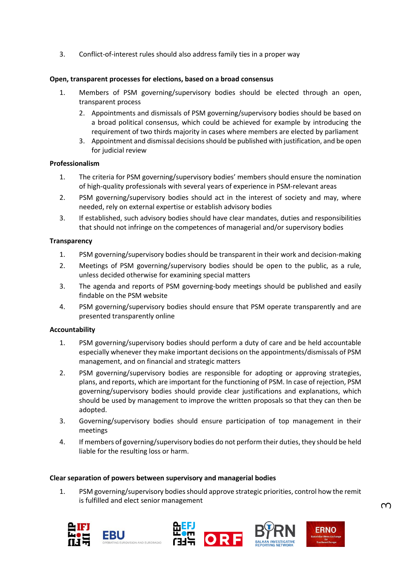3. Conflict-of-interest rules should also address family ties in a proper way

# **Open, transparent processes for elections, based on a broad consensus**

- 1. Members of PSM governing/supervisory bodies should be elected through an open, transparent process
	- 2. Appointments and dismissals of PSM governing/supervisory bodies should be based on a broad political consensus, which could be achieved for example by introducing the requirement of two thirds majority in cases where members are elected by parliament
	- 3. Appointment and dismissal decisions should be published with justification, and be open for judicial review

## **Professionalism**

- 1. The criteria for PSM governing/supervisory bodies' members should ensure the nomination of high-quality professionals with several years of experience in PSM-relevant areas
- 2. PSM governing/supervisory bodies should act in the interest of society and may, where needed, rely on external expertise or establish advisory bodies
- 3. If established, such advisory bodies should have clear mandates, duties and responsibilities that should not infringe on the competences of managerial and/or supervisory bodies

## **Transparency**

- 1. PSM governing/supervisory bodies should be transparent in their work and decision-making
- 2. Meetings of PSM governing/supervisory bodies should be open to the public, as a rule, unless decided otherwise for examining special matters
- 3. The agenda and reports of PSM governing-body meetings should be published and easily findable on the PSM website
- 4. PSM governing/supervisory bodies should ensure that PSM operate transparently and are presented transparently online

## **Accountability**

- 1. PSM governing/supervisory bodies should perform a duty of care and be held accountable especially whenever they make important decisions on the appointments/dismissals of PSM management, and on financial and strategic matters
- 2. PSM governing/supervisory bodies are responsible for adopting or approving strategies, plans, and reports, which are important for the functioning of PSM. In case of rejection, PSM governing/supervisory bodies should provide clear justifications and explanations, which should be used by management to improve the written proposals so that they can then be adopted.
- 3. Governing/supervisory bodies should ensure participation of top management in their meetings
- 4. If members of governing/supervisory bodies do not perform their duties, they should be held liable for the resulting loss or harm.

## **Clear separation of powers between supervisory and managerial bodies**

1. PSM governing/supervisory bodies should approve strategic priorities, control how the remit is fulfilled and elect senior management